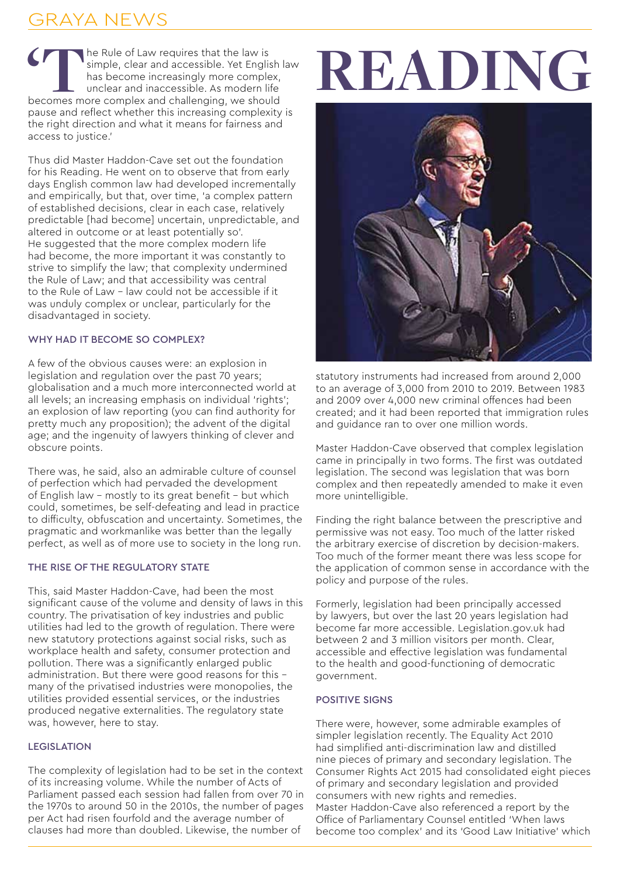## RAYA NEWS

**'T**he Rule of Law requires that the law is simple, clear and accessible. Yet English law has become increasingly more complex, unclear and inaccessible. As modern life becomes more complex and challenging, we should pause and reflect whether this increasing complexity is the right direction and what it means for fairness and access to justice.'

Thus did Master Haddon-Cave set out the foundation for his Reading. He went on to observe that from early days English common law had developed incrementally and empirically, but that, over time, 'a complex pattern of established decisions, clear in each case, relatively predictable [had become] uncertain, unpredictable, and altered in outcome or at least potentially so'. He suggested that the more complex modern life had become, the more important it was constantly to strive to simplify the law; that complexity undermined the Rule of Law; and that accessibility was central to the Rule of Law – law could not be accessible if it was unduly complex or unclear, particularly for the disadvantaged in society.

## WHY HAD IT BECOME SO COMPLEX?

A few of the obvious causes were: an explosion in legislation and regulation over the past 70 years; globalisation and a much more interconnected world at all levels; an increasing emphasis on individual 'rights'; an explosion of law reporting (you can find authority for pretty much any proposition); the advent of the digital age; and the ingenuity of lawyers thinking of clever and obscure points.

There was, he said, also an admirable culture of counsel of perfection which had pervaded the development of English law – mostly to its great benefit – but which could, sometimes, be self-defeating and lead in practice to difficulty, obfuscation and uncertainty. Sometimes, the pragmatic and workmanlike was better than the legally perfect, as well as of more use to society in the long run.

## THE RISE OF THE REGULATORY STATE

This, said Master Haddon-Cave, had been the most significant cause of the volume and density of laws in this country. The privatisation of key industries and public utilities had led to the growth of regulation. There were new statutory protections against social risks, such as workplace health and safety, consumer protection and pollution. There was a significantly enlarged public administration. But there were good reasons for this – many of the privatised industries were monopolies, the utilities provided essential services, or the industries produced negative externalities. The regulatory state was, however, here to stay.

## LEGISLATION

The complexity of legislation had to be set in the context of its increasing volume. While the number of Acts of Parliament passed each session had fallen from over 70 in the 1970s to around 50 in the 2010s, the number of pages per Act had risen fourfold and the average number of clauses had more than doubled. Likewise, the number of

# **READING**



statutory instruments had increased from around 2,000 to an average of 3,000 from 2010 to 2019. Between 1983 and 2009 over 4,000 new criminal offences had been created; and it had been reported that immigration rules and guidance ran to over one million words.

Master Haddon-Cave observed that complex legislation came in principally in two forms. The first was outdated legislation. The second was legislation that was born complex and then repeatedly amended to make it even more unintelligible.

Finding the right balance between the prescriptive and permissive was not easy. Too much of the latter risked the arbitrary exercise of discretion by decision-makers. Too much of the former meant there was less scope for the application of common sense in accordance with the policy and purpose of the rules.

Formerly, legislation had been principally accessed by lawyers, but over the last 20 years legislation had become far more accessible. Legislation.gov.uk had between 2 and 3 million visitors per month. Clear, accessible and effective legislation was fundamental to the health and good-functioning of democratic government.

## POSITIVE SIGNS

There were, however, some admirable examples of simpler legislation recently. The Equality Act 2010 had simplified anti-discrimination law and distilled nine pieces of primary and secondary legislation. The Consumer Rights Act 2015 had consolidated eight pieces of primary and secondary legislation and provided consumers with new rights and remedies. Master Haddon-Cave also referenced a report by the Office of Parliamentary Counsel entitled 'When laws become too complex' and its 'Good Law Initiative' which